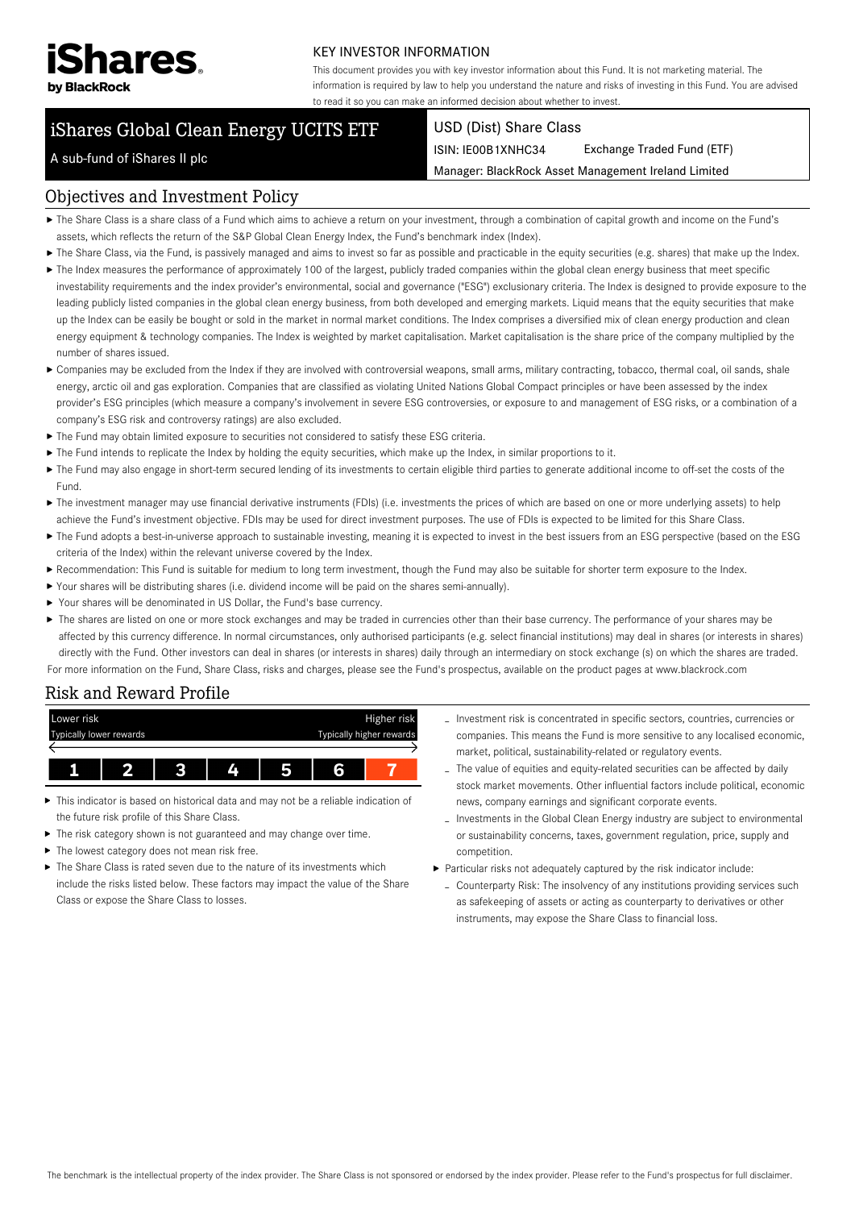

#### KEY INVESTOR INFORMATION

This document provides you with key investor information about this Fund. It is not marketing material. The information is required by law to help you understand the nature and risks of investing in this Fund. You are advised to read it so you can make an informed decision about whether to invest.

# iShares Global Clean Energy UCITS ETF

#### USD (Dist) Share Class

ISIN: IE00B1XNHC34 Exchange Traded Fund (ETF)

Manager: BlackRock Asset Management Ireland Limited

# A sub-fund of iShares II plc

#### Objectives and Investment Policy

- The Share Class is a share class of a Fund which aims to achieve a return on your investment, through a combination of capital growth and income on the Fund's assets, which reflects the return of the S&P Global Clean Energy Index, the Fund's benchmark index (Index).
- ▶ The Share Class, via the Fund, is passively managed and aims to invest so far as possible and practicable in the equity securities (e.g. shares) that make up the Index.
- The Index measures the performance of approximately 100 of the largest, publicly traded companies within the global clean energy business that meet specific investability requirements and the index provider's environmental, social and governance ("ESG") exclusionary criteria. The Index is designed to provide exposure to the leading publicly listed companies in the global clean energy business, from both developed and emerging markets. Liquid means that the equity securities that make up the Index can be easily be bought or sold in the market in normal market conditions. The Index comprises a diversified mix of clean energy production and clean energy equipment & technology companies. The Index is weighted by market capitalisation. Market capitalisation is the share price of the company multiplied by the number of shares issued.
- Companies may be excluded from the Index if they are involved with controversial weapons, small arms, military contracting, tobacco, thermal coal, oil sands, shale energy, arctic oil and gas exploration. Companies that are classified as violating United Nations Global Compact principles or have been assessed by the index provider's ESG principles (which measure a company's involvement in severe ESG controversies, or exposure to and management of ESG risks, or a combination of a company's ESG risk and controversy ratings) are also excluded.
- ▶ The Fund may obtain limited exposure to securities not considered to satisfy these FSG criteria.
- ▶ The Fund intends to replicate the Index by holding the equity securities, which make up the Index, in similar proportions to it.
- The Fund may also engage in short-term secured lending of its investments to certain eligible third parties to generate additional income to off-set the costs of the Fund.
- ▶ The investment manager may use financial derivative instruments (FDIs) (i.e. investments the prices of which are based on one or more underlying assets) to help achieve the Fund's investment objective. FDIs may be used for direct investment purposes. The use of FDIs is expected to be limited for this Share Class.
- ▶ The Fund adopts a best-in-universe approach to sustainable investing, meaning it is expected to invest in the best issuers from an ESG perspective (based on the ESG criteria of the Index) within the relevant universe covered by the Index.
- Recommendation: This Fund is suitable for medium to long term investment, though the Fund may also be suitable for shorter term exposure to the Index.
- Your shares will be distributing shares (i.e. dividend income will be paid on the shares semi-annually).
- Your shares will be denominated in US Dollar, the Fund's base currency.
- ▶ The shares are listed on one or more stock exchanges and may be traded in currencies other than their base currency. The performance of your shares may be affected by this currency difference. In normal circumstances, only authorised participants (e.g. select financial institutions) may deal in shares (or interests in shares) directly with the Fund. Other investors can deal in shares (or interests in shares) daily through an intermediary on stock exchange (s) on which the shares are traded. For more information on the Fund, Share Class, risks and charges, please see the Fund's prospectus, available on the product pages at www.blackrock.com

# Risk and Reward Profile



- This indicator is based on historical data and may not be a reliable indication of the future risk profile of this Share Class.
- The risk category shown is not guaranteed and may change over time.
- ▶ The lowest category does not mean risk free.
- ▶ The Share Class is rated seven due to the nature of its investments which include the risks listed below. These factors may impact the value of the Share Class or expose the Share Class to losses.
- Investment risk is concentrated in specific sectors, countries, currencies or companies. This means the Fund is more sensitive to any localised economic, market, political, sustainability-related or regulatory events.
- The value of equities and equity-related securities can be affected by daily stock market movements. Other influential factors include political, economic news, company earnings and significant corporate events.
- Investments in the Global Clean Energy industry are subject to environmental or sustainability concerns, taxes, government regulation, price, supply and competition.
- Particular risks not adequately captured by the risk indicator include:
	- Counterparty Risk: The insolvency of any institutions providing services such as safekeeping of assets or acting as counterparty to derivatives or other instruments, may expose the Share Class to financial loss.